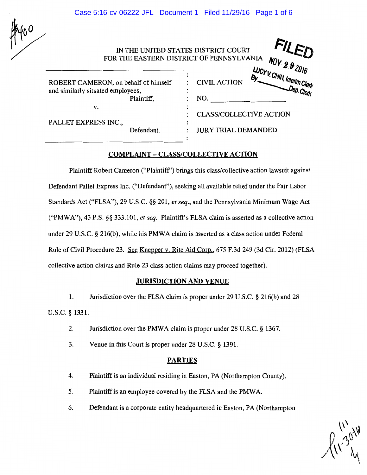Case 5:16-cv-06222-JFL Document 1 Filed 11/29/16 Page 1 of 6

| 4400 |  |
|------|--|
|      |  |

|                                                                                         | IN THE UNITED STATES DISTRICT COURT<br>FOR THE EASTERN DISTRICT OF PENNSYLVANIA<br>NOV 2.9 2016 |
|-----------------------------------------------------------------------------------------|-------------------------------------------------------------------------------------------------|
| ROBERT CAMERON, on behalf of himself<br>and similarly situated employees,<br>Plaintiff, | LUCY V. CHIN, Interim Clerk<br><b>CIVIL ACTION</b><br>NO.                                       |
| v.                                                                                      | <b>CLASS/COLLECTIVE ACTION</b>                                                                  |
| PALLET EXPRESS INC.,<br>Defendant.                                                      | <b>JURY TRIAL DEMANDED</b>                                                                      |

## COMPLAINT- CLASS/COLLECTIVE ACTION

Plaintiff Robert Cameron ("Plaintiff') brings this class/collective action lawsuit against Defendant Pallet Express Inc. ("Defendant"), seeking all available relief under the Fair Labor Standards Act ("FLSA"), 29 U.S.C. §§ 201, *et seq.,* and the Pennsylvania Minimum Wage Act ("PMWA"), 43 P.S. §§ 333.101, *et seq.* Plaintiff's FLSA claim is asserted as a collective action under 29 U.S.C. § 216(b), while his PMWA claim is asserted as a class action under Federal Rule of Civil Procedure 23. See Knepper v. Rite Aid Corp., 675 F.3d 249 (3d Cir. 2012) (FLSA collective action claims and Rule 23 class action claims may proceed together).

### .JURISDICTION AND VENUE

1. Jurisdiction over the FLSA claim is proper under 29 U.S.C. § 216(b) and 28 u.s.c. § 1331.

- 2. Jurisdiction over the PMWA claim is proper under 28 U.S.C. § 1367.
- 3. Venue in this Court is proper under 28 U.S.C. § 1391.

#### PARTIES

- 4. Plaintiff is an individual residing in Easton, PA (Northampton County).
- 5. Plaintiff is an employee covered by the FLSA and the PMWA.
- 6. Defendant is a corporate entity headquartered in Easton, PA (Northampton

 $\sqrt{{11 \choose 26}}$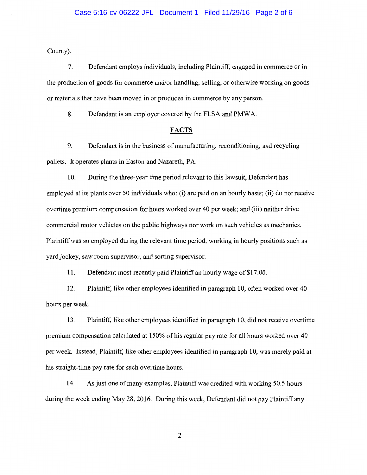County).

7. Defendant employs individuals, including Plaintiff, engaged in commerce or in the production of goods for commerce and/or handling, selling, or otherwise working on goods or materials that have been moved in or produced in commerce by any person.

8. Defendant is an employer covered by the FLSA and PMWA.

#### **FACTS**

9. Defendant is in the business of manufacturing, reconditioning, and recycling pallets. It operates plants in Easton and Nazareth, PA

10. During the three-year time period relevant to this lawsuit, Defendant has employed at its plants over 50 individuals who: (i) are paid on an hourly basis; (ii) do not receive overtime premium compensation for hours worked over 40 per week; and (iii) neither drive commercial motor vehicles on the public highways nor work on such vehicles as mechanics. Plaintiff was so employed during the relevant time period, working in hourly positions such as yard jockey, saw room supervisor, and sorting supervisor.

**11.** Defendant most recently paid Plaintiff an hourly wage of \$17.00.

12. Plaintiff, like other employees identified in paragraph 10, often worked over 40 hours per week.

13. Plaintiff, like other employees identified in paragraph 10, did not receive overtime premium compensation calculated at 150% of his regular pay rate for all hours worked over 40 per week. Instead, Plaintiff, like other employees identified in paragraph 10, was merely paid at his straight-time pay rate for such overtime hours.

14. As just one of many examples, Plaintiff was credited with working 50.5 hours during the week ending May 28, 2016. During this week, Defendant did not pay Plaintiff any

2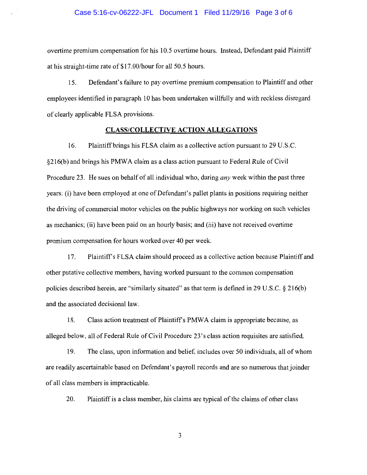overtime premium compensation for his 10.5 overtime hours. Instead, Defendant paid Plaintiff at his straight-time rate of \$17.00/hour for all 50.5 hours.

15. Defendant's failure to pay overtime premium compensation to Plaintiff and other employees identified in paragraph 10 has been undertaken willfully and with reckless disregard of clearly applicable FLSA provisions.

#### **CLASS/COLLECTIVE ACTION ALLEGATIONS**

16. Plaintiff brings his FLSA claim as a collective action pursuant to 29 U.S.C. §216(b) and brings his PMWA claim as a class action pursuant to Federal Rule of Civil Procedure 23. He sues on behalf of all individual who, during *any* week within the past three years: (i) have been employed at one of Defendant's pallet plants in positions requiring neither the driving of commercial motor vehicles on the public highways nor working on such vehicles as mechanics; (ii) have been paid on an hourly basis; and (iii) have not received overtime premium compensation for hours worked over 40 per week.

17. Plaintiffs FLSA claim should proceed as a collective action because Plaintiff and other putative collective members, having worked pursuant to the common compensation policies described herein, are "similarly situated" as that term is defined in 29 U.S.C.  $\S 216(b)$ and the associated decisional law.

18. Class action treatment of Plaintiffs PMW A claim is appropriate because, as alleged below, all of Federal Rule of Civil Procedure 23's class action requisites are satisfied.

19. The class, upon information and belief, includes over 50 individuals, all of whom are readily ascertainable based on Defendant's payroll records and are so numerous thatjoinder of all class members is impracticable.

20. Plaintiff is a class member, his claims are typical of the claims of other class

3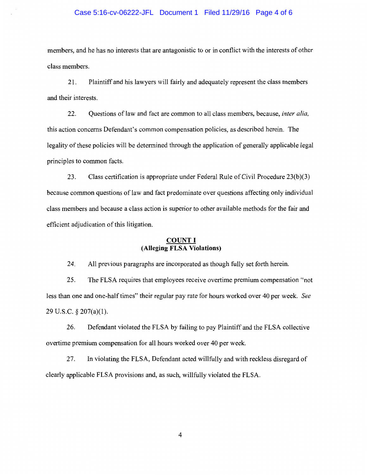#### Case 5:16-cv-06222-JFL Document 1 Filed 11/29/16 Page 4 of 6

members, and he has no interests that are antagonistic to or in conflict with the interests of other class members.

21. Plaintiff and his lawyers will fairly and adequately represent the class members and their interests.

22. Questions of law and fact are common to all class members, because, *inter alia,*  this action concerns Defendant's common compensation policies, as described herein. The legality of these policies will be determined through the application of generally applicable legal principles to common facts.

23. Class certification is appropriate under Federal Rule of Civil Procedure 23(b)(3) because common questions of law and fact predominate over questions affecting only individual class members and because a class action is superior to other available methods for the fair and efficient adjudication of this litigation.

### **COUNT I (Alleging FLSA Violations)**

24. All previous paragraphs are incorporated as though fully set forth herein.

25. The FLSA requires that employees receive overtime premium compensation "not less than one and one-half times" their regular pay rate for hours worked over 40 per week. *See*  29 U.S.C. § 207(a)(l).

26. Defendant violated the FLSA by failing to pay Plaintiff and the FLSA collective overtime premium compensation for all hours worked over 40 per week.

27. In violating the FLSA, Defendant acted willfully and with reckless disregard of clearly applicable FLSA provisions and, as such, willfully violated the FLSA.

4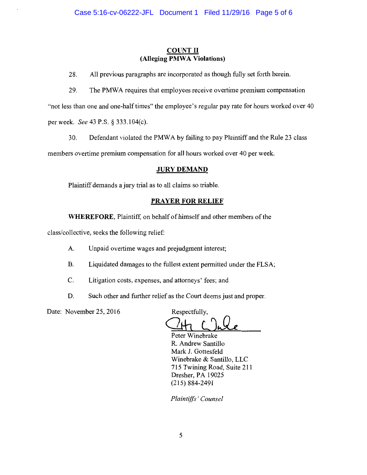# **COUNT II (Alleging PMWA Violations)**

28. All previous paragraphs are incorporated as though fully set forth herein.

29. The PMWA requires that employees receive overtime premium compensation

"not less than one and one-half times" the employee's regular pay rate for hours worked over 40 per week. *See* 43 P.S. § 333.104(c).

30. Defendant violated the PMW A by failing to pay Plaintiff and the Rule 23 class

members overtime premium compensation for all hours worked over 40 per week.

## **JURY DEMAND**

Plaintiff demands a jury trial as to all claims so triable.

# **PRAYER FOR RELIEF**

**WHEREFORE,** Plaintiff, on behalf of himself and other members of the

class/collective, seeks the following relief:

- A. Unpaid overtime wages and prejudgment interest;
- B. Liquidated damages to the fullest extent permitted under the FLSA;
- C. Litigation costs, expenses, and attorneys' fees; and
- D. Such other and further relief as the Court deems just and proper.

Date: November 25, 2016 Respectfully,

Gh **l)Jle** 

Peter Winebrake R. Andrew Santillo Mark J. Gottesfeld Winebrake & Santillo, LLC 715 Twining Road, Suite 211 Dresher, PA 19025 (215) 884-2491

*Plaintiffs' Counsel*